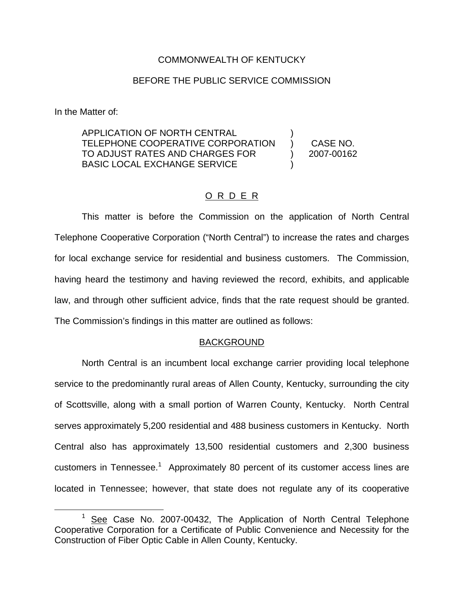### COMMONWEALTH OF KENTUCKY

### BEFORE THE PUBLIC SERVICE COMMISSION

In the Matter of:

APPLICATION OF NORTH CENTRAL TELEPHONE COOPERATIVE CORPORATION TO ADJUST RATES AND CHARGES FOR BASIC LOCAL EXCHANGE SERVICE ) ) CASE NO. ) 2007-00162 )

## O R D E R

This matter is before the Commission on the application of North Central Telephone Cooperative Corporation ("North Central") to increase the rates and charges for local exchange service for residential and business customers. The Commission, having heard the testimony and having reviewed the record, exhibits, and applicable law, and through other sufficient advice, finds that the rate request should be granted. The Commission's findings in this matter are outlined as follows:

#### BACKGROUND

North Central is an incumbent local exchange carrier providing local telephone service to the predominantly rural areas of Allen County, Kentucky, surrounding the city of Scottsville, along with a small portion of Warren County, Kentucky. North Central serves approximately 5,200 residential and 488 business customers in Kentucky. North Central also has approximately 13,500 residential customers and 2,300 business customers in Tennessee.<sup>1</sup> Approximately 80 percent of its customer access lines are located in Tennessee; however, that state does not regulate any of its cooperative

See Case No. 2007-00432, The Application of North Central Telephone Cooperative Corporation for a Certificate of Public Convenience and Necessity for the Construction of Fiber Optic Cable in Allen County, Kentucky.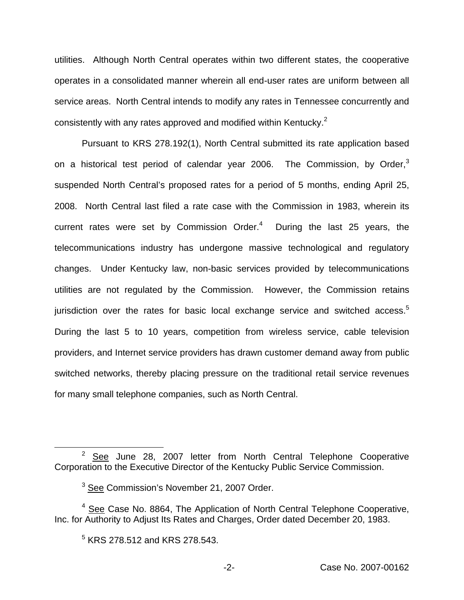utilities. Although North Central operates within two different states, the cooperative operates in a consolidated manner wherein all end-user rates are uniform between all service areas. North Central intends to modify any rates in Tennessee concurrently and consistently with any rates approved and modified within Kentucky.<sup>2</sup>

Pursuant to KRS 278.192(1), North Central submitted its rate application based on a historical test period of calendar year 2006. The Commission, by Order,<sup>3</sup> suspended North Central's proposed rates for a period of 5 months, ending April 25, 2008. North Central last filed a rate case with the Commission in 1983, wherein its current rates were set by Commission Order. $4$  During the last 25 years, the telecommunications industry has undergone massive technological and regulatory changes. Under Kentucky law, non-basic services provided by telecommunications utilities are not regulated by the Commission. However, the Commission retains jurisdiction over the rates for basic local exchange service and switched access.<sup>5</sup> During the last 5 to 10 years, competition from wireless service, cable television providers, and Internet service providers has drawn customer demand away from public switched networks, thereby placing pressure on the traditional retail service revenues for many small telephone companies, such as North Central.

 $2$  See June 28, 2007 letter from North Central Telephone Cooperative Corporation to the Executive Director of the Kentucky Public Service Commission.

 $3$  See Commission's November 21, 2007 Order.

 $4$  See Case No. 8864, The Application of North Central Telephone Cooperative, Inc. for Authority to Adjust Its Rates and Charges, Order dated December 20, 1983.

 $5$  KRS 278.512 and KRS 278.543.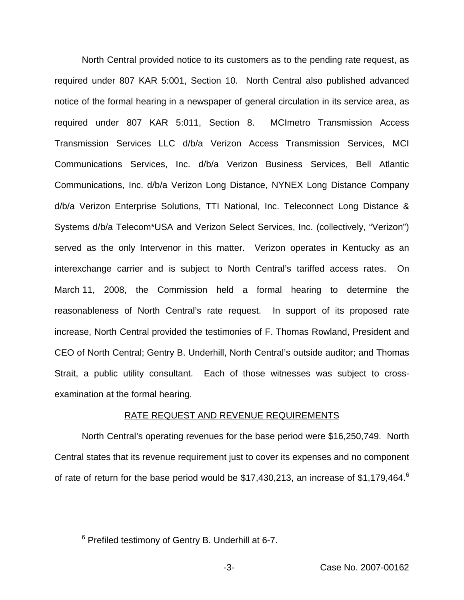North Central provided notice to its customers as to the pending rate request, as required under 807 KAR 5:001, Section 10. North Central also published advanced notice of the formal hearing in a newspaper of general circulation in its service area, as required under 807 KAR 5:011, Section 8. MCImetro Transmission Access Transmission Services LLC d/b/a Verizon Access Transmission Services, MCI Communications Services, Inc. d/b/a Verizon Business Services, Bell Atlantic Communications, Inc. d/b/a Verizon Long Distance, NYNEX Long Distance Company d/b/a Verizon Enterprise Solutions, TTI National, Inc. Teleconnect Long Distance & Systems d/b/a Telecom\*USA and Verizon Select Services, Inc. (collectively, "Verizon") served as the only Intervenor in this matter. Verizon operates in Kentucky as an interexchange carrier and is subject to North Central's tariffed access rates. On March 11, 2008, the Commission held a formal hearing to determine the reasonableness of North Central's rate request. In support of its proposed rate increase, North Central provided the testimonies of F. Thomas Rowland, President and CEO of North Central; Gentry B. Underhill, North Central's outside auditor; and Thomas Strait, a public utility consultant. Each of those witnesses was subject to crossexamination at the formal hearing.

#### RATE REQUEST AND REVENUE REQUIREMENTS

North Central's operating revenues for the base period were \$16,250,749. North Central states that its revenue requirement just to cover its expenses and no component of rate of return for the base period would be \$17,430,213, an increase of \$1,179,464.<sup>6</sup>

<sup>6</sup> Prefiled testimony of Gentry B. Underhill at 6-7.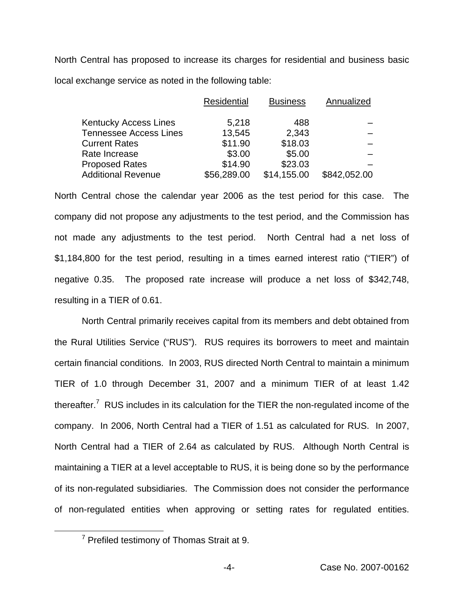North Central has proposed to increase its charges for residential and business basic local exchange service as noted in the following table:

|                               | Residential | <b>Business</b> | Annualized   |
|-------------------------------|-------------|-----------------|--------------|
| <b>Kentucky Access Lines</b>  | 5,218       | 488             |              |
| <b>Tennessee Access Lines</b> | 13,545      | 2,343           |              |
| <b>Current Rates</b>          | \$11.90     | \$18.03         |              |
| Rate Increase                 | \$3.00      | \$5.00          |              |
| <b>Proposed Rates</b>         | \$14.90     | \$23.03         |              |
| <b>Additional Revenue</b>     | \$56,289.00 | \$14,155.00     | \$842,052.00 |

North Central chose the calendar year 2006 as the test period for this case. The company did not propose any adjustments to the test period, and the Commission has not made any adjustments to the test period. North Central had a net loss of \$1,184,800 for the test period, resulting in a times earned interest ratio ("TIER") of negative 0.35. The proposed rate increase will produce a net loss of \$342,748, resulting in a TIER of 0.61.

North Central primarily receives capital from its members and debt obtained from the Rural Utilities Service ("RUS"). RUS requires its borrowers to meet and maintain certain financial conditions. In 2003, RUS directed North Central to maintain a minimum TIER of 1.0 through December 31, 2007 and a minimum TIER of at least 1.42 thereafter.<sup>7</sup> RUS includes in its calculation for the TIER the non-regulated income of the company. In 2006, North Central had a TIER of 1.51 as calculated for RUS. In 2007, North Central had a TIER of 2.64 as calculated by RUS. Although North Central is maintaining a TIER at a level acceptable to RUS, it is being done so by the performance of its non-regulated subsidiaries. The Commission does not consider the performance of non-regulated entities when approving or setting rates for regulated entities.

 $7$  Prefiled testimony of Thomas Strait at 9.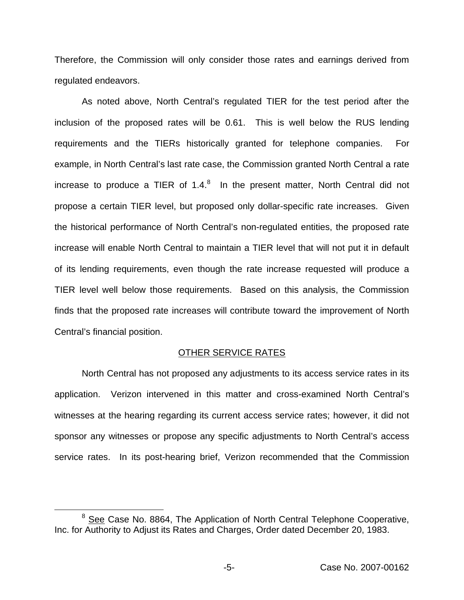Therefore, the Commission will only consider those rates and earnings derived from regulated endeavors.

As noted above, North Central's regulated TIER for the test period after the inclusion of the proposed rates will be 0.61. This is well below the RUS lending requirements and the TIERs historically granted for telephone companies. For example, in North Central's last rate case, the Commission granted North Central a rate increase to produce a TIER of  $1.4<sup>8</sup>$  In the present matter, North Central did not propose a certain TIER level, but proposed only dollar-specific rate increases. Given the historical performance of North Central's non-regulated entities, the proposed rate increase will enable North Central to maintain a TIER level that will not put it in default of its lending requirements, even though the rate increase requested will produce a TIER level well below those requirements. Based on this analysis, the Commission finds that the proposed rate increases will contribute toward the improvement of North Central's financial position.

#### OTHER SERVICE RATES

North Central has not proposed any adjustments to its access service rates in its application. Verizon intervened in this matter and cross-examined North Central's witnesses at the hearing regarding its current access service rates; however, it did not sponsor any witnesses or propose any specific adjustments to North Central's access service rates. In its post-hearing brief, Verizon recommended that the Commission

<sup>&</sup>lt;sup>8</sup> See Case No. 8864, The Application of North Central Telephone Cooperative, Inc. for Authority to Adjust its Rates and Charges, Order dated December 20, 1983.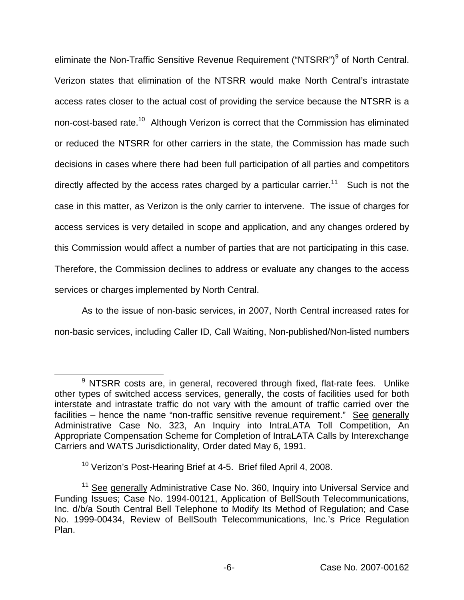eliminate the Non-Traffic Sensitive Revenue Requirement ("NTSRR")<sup>9</sup> of North Central. Verizon states that elimination of the NTSRR would make North Central's intrastate access rates closer to the actual cost of providing the service because the NTSRR is a non-cost-based rate.10 Although Verizon is correct that the Commission has eliminated or reduced the NTSRR for other carriers in the state, the Commission has made such decisions in cases where there had been full participation of all parties and competitors directly affected by the access rates charged by a particular carrier.<sup>11</sup> Such is not the case in this matter, as Verizon is the only carrier to intervene. The issue of charges for access services is very detailed in scope and application, and any changes ordered by this Commission would affect a number of parties that are not participating in this case. Therefore, the Commission declines to address or evaluate any changes to the access services or charges implemented by North Central.

As to the issue of non-basic services, in 2007, North Central increased rates for non-basic services, including Caller ID, Call Waiting, Non-published/Non-listed numbers

 $9$  NTSRR costs are, in general, recovered through fixed, flat-rate fees. Unlike other types of switched access services, generally, the costs of facilities used for both interstate and intrastate traffic do not vary with the amount of traffic carried over the facilities – hence the name "non-traffic sensitive revenue requirement." See generally Administrative Case No. 323, An Inquiry into IntraLATA Toll Competition, An Appropriate Compensation Scheme for Completion of IntraLATA Calls by Interexchange Carriers and WATS Jurisdictionality, Order dated May 6, 1991.

<sup>&</sup>lt;sup>10</sup> Verizon's Post-Hearing Brief at 4-5. Brief filed April 4, 2008.

<sup>&</sup>lt;sup>11</sup> See generally Administrative Case No. 360, Inquiry into Universal Service and Funding Issues; Case No. 1994-00121, Application of BellSouth Telecommunications, Inc. d/b/a South Central Bell Telephone to Modify Its Method of Regulation; and Case No. 1999-00434, Review of BellSouth Telecommunications, Inc.'s Price Regulation Plan.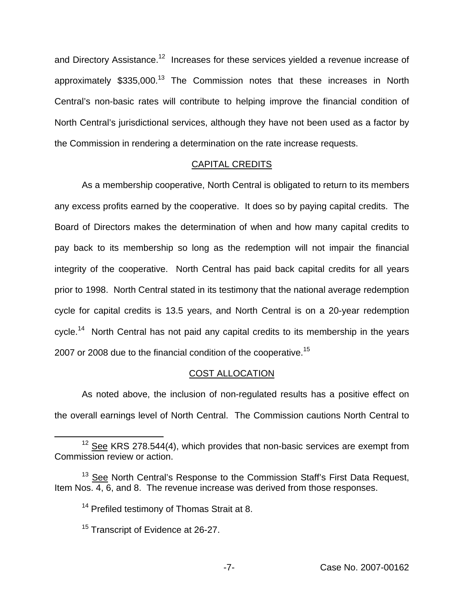and Directory Assistance.<sup>12</sup> Increases for these services yielded a revenue increase of approximately  $$335,000$ <sup>13</sup> The Commission notes that these increases in North Central's non-basic rates will contribute to helping improve the financial condition of North Central's jurisdictional services, although they have not been used as a factor by the Commission in rendering a determination on the rate increase requests.

## CAPITAL CREDITS

As a membership cooperative, North Central is obligated to return to its members any excess profits earned by the cooperative. It does so by paying capital credits. The Board of Directors makes the determination of when and how many capital credits to pay back to its membership so long as the redemption will not impair the financial integrity of the cooperative. North Central has paid back capital credits for all years prior to 1998. North Central stated in its testimony that the national average redemption cycle for capital credits is 13.5 years, and North Central is on a 20-year redemption cycle.<sup>14</sup> North Central has not paid any capital credits to its membership in the years 2007 or 2008 due to the financial condition of the cooperative.<sup>15</sup>

# COST ALLOCATION

As noted above, the inclusion of non-regulated results has a positive effect on the overall earnings level of North Central. The Commission cautions North Central to

 $12$  See KRS 278.544(4), which provides that non-basic services are exempt from Commission review or action.

<sup>&</sup>lt;sup>13</sup> See North Central's Response to the Commission Staff's First Data Request, Item Nos. 4, 6, and 8. The revenue increase was derived from those responses.

<sup>&</sup>lt;sup>14</sup> Prefiled testimony of Thomas Strait at 8.

<sup>&</sup>lt;sup>15</sup> Transcript of Evidence at 26-27.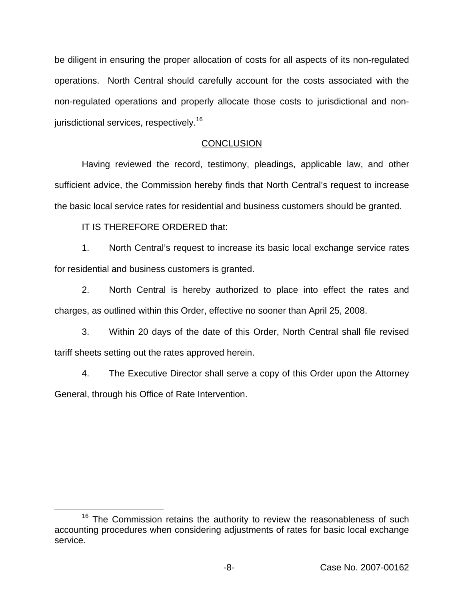be diligent in ensuring the proper allocation of costs for all aspects of its non-regulated operations. North Central should carefully account for the costs associated with the non-regulated operations and properly allocate those costs to jurisdictional and nonjurisdictional services, respectively.<sup>16</sup>

# **CONCLUSION**

Having reviewed the record, testimony, pleadings, applicable law, and other sufficient advice, the Commission hereby finds that North Central's request to increase the basic local service rates for residential and business customers should be granted.

IT IS THEREFORE ORDERED that:

1. North Central's request to increase its basic local exchange service rates for residential and business customers is granted.

2. North Central is hereby authorized to place into effect the rates and charges, as outlined within this Order, effective no sooner than April 25, 2008.

3. Within 20 days of the date of this Order, North Central shall file revised tariff sheets setting out the rates approved herein.

4. The Executive Director shall serve a copy of this Order upon the Attorney General, through his Office of Rate Intervention.

 $16$  The Commission retains the authority to review the reasonableness of such accounting procedures when considering adjustments of rates for basic local exchange service.